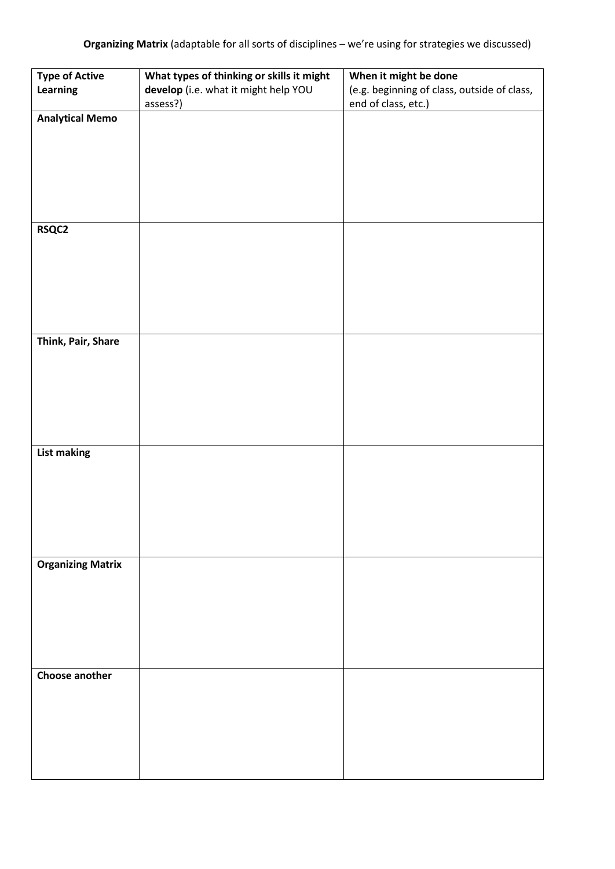| <b>Type of Active</b>    | What types of thinking or skills it might        | When it might be done                                              |
|--------------------------|--------------------------------------------------|--------------------------------------------------------------------|
| Learning                 | develop (i.e. what it might help YOU<br>assess?) | (e.g. beginning of class, outside of class,<br>end of class, etc.) |
| <b>Analytical Memo</b>   |                                                  |                                                                    |
|                          |                                                  |                                                                    |
|                          |                                                  |                                                                    |
|                          |                                                  |                                                                    |
|                          |                                                  |                                                                    |
|                          |                                                  |                                                                    |
|                          |                                                  |                                                                    |
| <b>RSQC2</b>             |                                                  |                                                                    |
|                          |                                                  |                                                                    |
|                          |                                                  |                                                                    |
|                          |                                                  |                                                                    |
|                          |                                                  |                                                                    |
|                          |                                                  |                                                                    |
|                          |                                                  |                                                                    |
| Think, Pair, Share       |                                                  |                                                                    |
|                          |                                                  |                                                                    |
|                          |                                                  |                                                                    |
|                          |                                                  |                                                                    |
|                          |                                                  |                                                                    |
|                          |                                                  |                                                                    |
|                          |                                                  |                                                                    |
| <b>List making</b>       |                                                  |                                                                    |
|                          |                                                  |                                                                    |
|                          |                                                  |                                                                    |
|                          |                                                  |                                                                    |
|                          |                                                  |                                                                    |
|                          |                                                  |                                                                    |
|                          |                                                  |                                                                    |
| <b>Organizing Matrix</b> |                                                  |                                                                    |
|                          |                                                  |                                                                    |
|                          |                                                  |                                                                    |
|                          |                                                  |                                                                    |
|                          |                                                  |                                                                    |
|                          |                                                  |                                                                    |
| Choose another           |                                                  |                                                                    |
|                          |                                                  |                                                                    |
|                          |                                                  |                                                                    |
|                          |                                                  |                                                                    |
|                          |                                                  |                                                                    |
|                          |                                                  |                                                                    |
|                          |                                                  |                                                                    |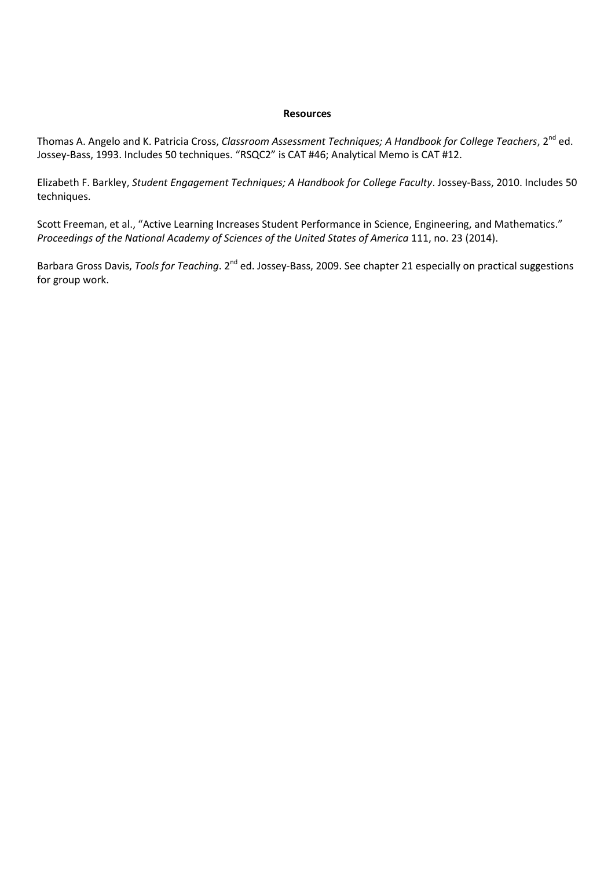## **Resources**

Thomas A. Angelo and K. Patricia Cross, *Classroom Assessment Techniques; A Handbook for College Teachers*, 2<sup>nd</sup> ed. Jossey-Bass, 1993. Includes 50 techniques. "RSQC2" is CAT #46; Analytical Memo is CAT #12.

Elizabeth F. Barkley, *Student Engagement Techniques; A Handbook for College Faculty*. Jossey-Bass, 2010. Includes 50 techniques.

Scott Freeman, et al., "Active Learning Increases Student Performance in Science, Engineering, and Mathematics." *Proceedings of the National Academy of Sciences of the United States of America* 111, no. 23 (2014).

Barbara Gross Davis, *Tools for Teaching*. 2<sup>nd</sup> ed. Jossey-Bass, 2009. See chapter 21 especially on practical suggestions for group work.